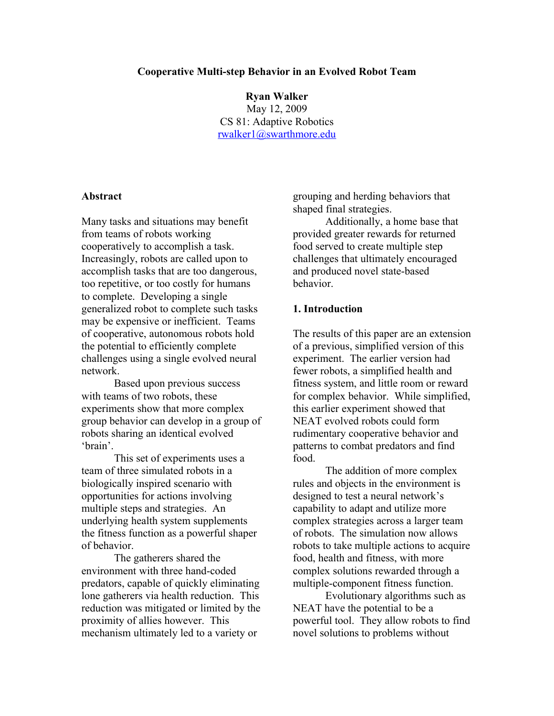#### **Cooperative Multi-step Behavior in an Evolved Robot Team**

**Ryan Walker** May 12, 2009 CS 81: Adaptive Robotics [rwalker1@swarthmore.edu](mailto:rwalker1@swarthmore.edu)

#### **Abstract**

Many tasks and situations may benefit from teams of robots working cooperatively to accomplish a task. Increasingly, robots are called upon to accomplish tasks that are too dangerous, too repetitive, or too costly for humans to complete. Developing a single generalized robot to complete such tasks may be expensive or inefficient. Teams of cooperative, autonomous robots hold the potential to efficiently complete challenges using a single evolved neural network.

Based upon previous success with teams of two robots, these experiments show that more complex group behavior can develop in a group of robots sharing an identical evolved 'brain'.

This set of experiments uses a team of three simulated robots in a biologically inspired scenario with opportunities for actions involving multiple steps and strategies. An underlying health system supplements the fitness function as a powerful shaper of behavior.

The gatherers shared the environment with three hand-coded predators, capable of quickly eliminating lone gatherers via health reduction. This reduction was mitigated or limited by the proximity of allies however. This mechanism ultimately led to a variety or

grouping and herding behaviors that shaped final strategies.

Additionally, a home base that provided greater rewards for returned food served to create multiple step challenges that ultimately encouraged and produced novel state-based behavior.

## **1. Introduction**

The results of this paper are an extension of a previous, simplified version of this experiment. The earlier version had fewer robots, a simplified health and fitness system, and little room or reward for complex behavior. While simplified, this earlier experiment showed that NEAT evolved robots could form rudimentary cooperative behavior and patterns to combat predators and find food.

The addition of more complex rules and objects in the environment is designed to test a neural network's capability to adapt and utilize more complex strategies across a larger team of robots. The simulation now allows robots to take multiple actions to acquire food, health and fitness, with more complex solutions rewarded through a multiple-component fitness function.

Evolutionary algorithms such as NEAT have the potential to be a powerful tool. They allow robots to find novel solutions to problems without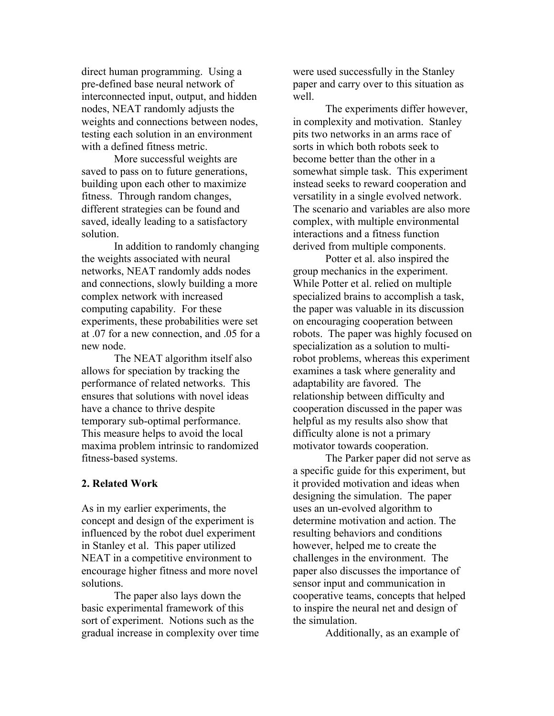direct human programming. Using a pre-defined base neural network of interconnected input, output, and hidden nodes, NEAT randomly adjusts the weights and connections between nodes, testing each solution in an environment with a defined fitness metric.

More successful weights are saved to pass on to future generations, building upon each other to maximize fitness. Through random changes, different strategies can be found and saved, ideally leading to a satisfactory solution.

In addition to randomly changing the weights associated with neural networks, NEAT randomly adds nodes and connections, slowly building a more complex network with increased computing capability. For these experiments, these probabilities were set at .07 for a new connection, and .05 for a new node.

The NEAT algorithm itself also allows for speciation by tracking the performance of related networks. This ensures that solutions with novel ideas have a chance to thrive despite temporary sub-optimal performance. This measure helps to avoid the local maxima problem intrinsic to randomized fitness-based systems.

## **2. Related Work**

As in my earlier experiments, the concept and design of the experiment is influenced by the robot duel experiment in Stanley et al. This paper utilized NEAT in a competitive environment to encourage higher fitness and more novel solutions.

The paper also lays down the basic experimental framework of this sort of experiment. Notions such as the gradual increase in complexity over time

were used successfully in the Stanley paper and carry over to this situation as well.

The experiments differ however, in complexity and motivation. Stanley pits two networks in an arms race of sorts in which both robots seek to become better than the other in a somewhat simple task. This experiment instead seeks to reward cooperation and versatility in a single evolved network. The scenario and variables are also more complex, with multiple environmental interactions and a fitness function derived from multiple components.

Potter et al. also inspired the group mechanics in the experiment. While Potter et al. relied on multiple specialized brains to accomplish a task, the paper was valuable in its discussion on encouraging cooperation between robots. The paper was highly focused on specialization as a solution to multirobot problems, whereas this experiment examines a task where generality and adaptability are favored. The relationship between difficulty and cooperation discussed in the paper was helpful as my results also show that difficulty alone is not a primary motivator towards cooperation.

The Parker paper did not serve as a specific guide for this experiment, but it provided motivation and ideas when designing the simulation. The paper uses an un-evolved algorithm to determine motivation and action. The resulting behaviors and conditions however, helped me to create the challenges in the environment. The paper also discusses the importance of sensor input and communication in cooperative teams, concepts that helped to inspire the neural net and design of the simulation.

Additionally, as an example of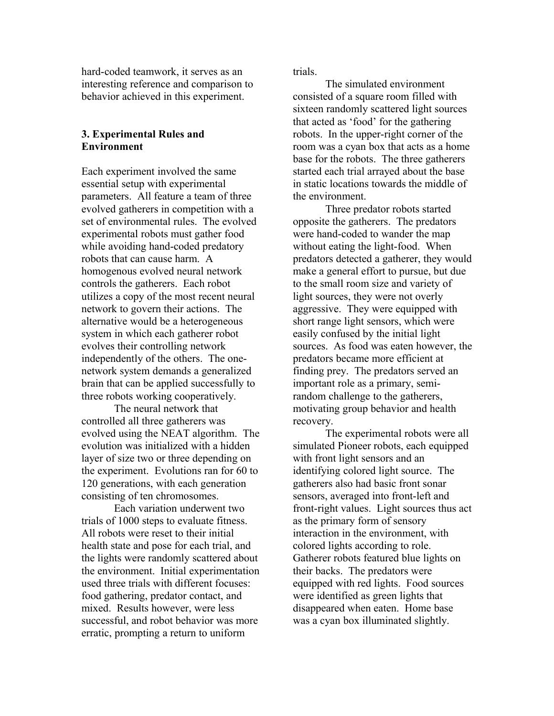hard-coded teamwork, it serves as an interesting reference and comparison to behavior achieved in this experiment.

## **3. Experimental Rules and Environment**

Each experiment involved the same essential setup with experimental parameters. All feature a team of three evolved gatherers in competition with a set of environmental rules. The evolved experimental robots must gather food while avoiding hand-coded predatory robots that can cause harm. A homogenous evolved neural network controls the gatherers. Each robot utilizes a copy of the most recent neural network to govern their actions. The alternative would be a heterogeneous system in which each gatherer robot evolves their controlling network independently of the others. The onenetwork system demands a generalized brain that can be applied successfully to three robots working cooperatively.

The neural network that controlled all three gatherers was evolved using the NEAT algorithm. The evolution was initialized with a hidden layer of size two or three depending on the experiment. Evolutions ran for 60 to 120 generations, with each generation consisting of ten chromosomes.

Each variation underwent two trials of 1000 steps to evaluate fitness. All robots were reset to their initial health state and pose for each trial, and the lights were randomly scattered about the environment. Initial experimentation used three trials with different focuses: food gathering, predator contact, and mixed. Results however, were less successful, and robot behavior was more erratic, prompting a return to uniform

trials.

The simulated environment consisted of a square room filled with sixteen randomly scattered light sources that acted as 'food' for the gathering robots. In the upper-right corner of the room was a cyan box that acts as a home base for the robots. The three gatherers started each trial arrayed about the base in static locations towards the middle of the environment.

Three predator robots started opposite the gatherers. The predators were hand-coded to wander the map without eating the light-food. When predators detected a gatherer, they would make a general effort to pursue, but due to the small room size and variety of light sources, they were not overly aggressive. They were equipped with short range light sensors, which were easily confused by the initial light sources. As food was eaten however, the predators became more efficient at finding prey. The predators served an important role as a primary, semirandom challenge to the gatherers, motivating group behavior and health recovery.

The experimental robots were all simulated Pioneer robots, each equipped with front light sensors and an identifying colored light source. The gatherers also had basic front sonar sensors, averaged into front-left and front-right values. Light sources thus act as the primary form of sensory interaction in the environment, with colored lights according to role. Gatherer robots featured blue lights on their backs. The predators were equipped with red lights. Food sources were identified as green lights that disappeared when eaten. Home base was a cyan box illuminated slightly.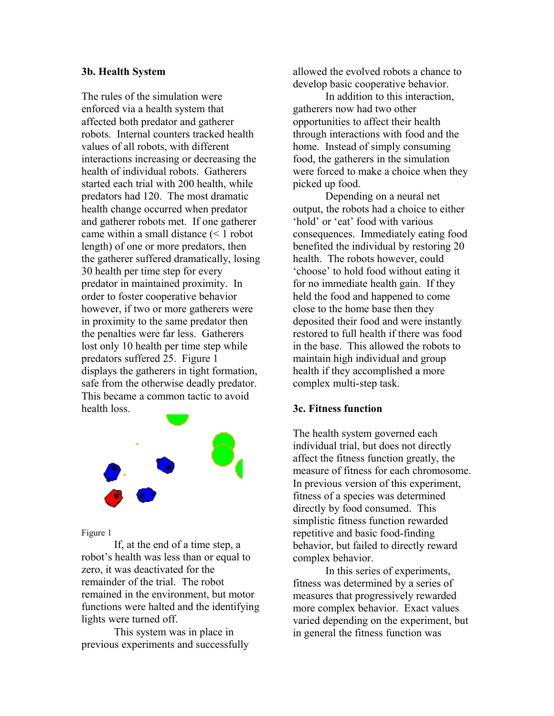## **3b. Health System**

The rules of the simulation were enforced via a health system that affected both predator and gatherer robots. Internal counters tracked health values of all robots, with different interactions increasing or decreasing the health of individual robots. Gatherers started each trial with 200 health, while predators had 120. The most dramatic health change occurred when predator and gatherer robots met. If one gatherer came within a small distance (< 1 robot length) of one or more predators, then the gatherer suffered dramatically, losing 30 health per time step for every predator in maintained proximity. In order to foster cooperative behavior however, if two or more gatherers were in proximity to the same predator then the penalties were far less. Gatherers lost only 10 health per time step while predators suffered 25. Figure 1 displays the gatherers in tight formation, safe from the otherwise deadly predator. This became a common tactic to avoid health loss.



Figure 1

If, at the end of a time step, a robot's health was less than or equal to zero, it was deactivated for the remainder of the trial. The robot remained in the environment, but motor functions were halted and the identifying lights were turned off.

This system was in place in previous experiments and successfully allowed the evolved robots a chance to develop basic cooperative behavior.

In addition to this interaction, gatherers now had two other opportunities to affect their health through interactions with food and the home. Instead of simply consuming food, the gatherers in the simulation were forced to make a choice when they picked up food.

Depending on a neural net output, the robots had a choice to either 'hold' or 'eat' food with various consequences. Immediately eating food benefited the individual by restoring 20 health. The robots however, could 'choose' to hold food without eating it for no immediate health gain. If they held the food and happened to come close to the home base then they deposited their food and were instantly restored to full health if there was food in the base. This allowed the robots to maintain high individual and group health if they accomplished a more complex multi-step task.

## **3c. Fitness function**

The health system governed each individual trial, but does not directly affect the fitness function greatly, the measure of fitness for each chromosome. In previous version of this experiment, fitness of a species was determined directly by food consumed. This simplistic fitness function rewarded repetitive and basic food-finding behavior, but failed to directly reward complex behavior.

In this series of experiments, fitness was determined by a series of measures that progressively rewarded more complex behavior. Exact values varied depending on the experiment, but in general the fitness function was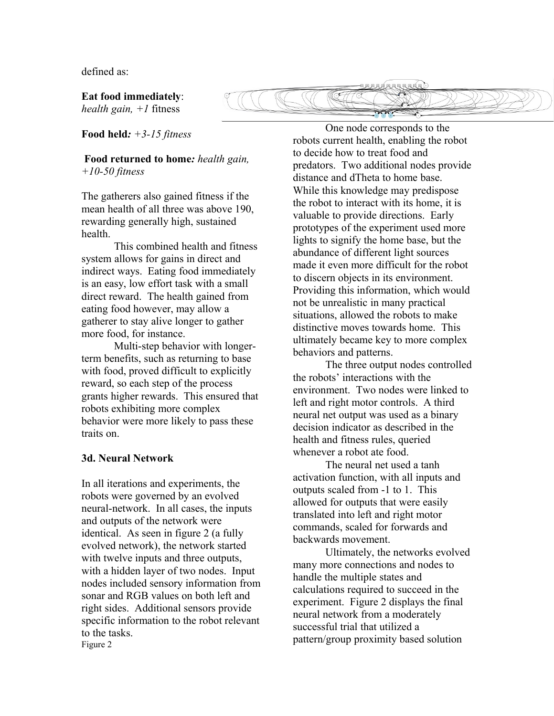defined as:

**Eat food immediately**: *health gain, +1* fitness

**Food held***: +3-15 fitness*

**Food returned to home***: health gain, +10-50 fitness*

The gatherers also gained fitness if the mean health of all three was above 190, rewarding generally high, sustained health.

This combined health and fitness system allows for gains in direct and indirect ways. Eating food immediately is an easy, low effort task with a small direct reward. The health gained from eating food however, may allow a gatherer to stay alive longer to gather more food, for instance.

Multi-step behavior with longerterm benefits, such as returning to base with food, proved difficult to explicitly reward, so each step of the process grants higher rewards. This ensured that robots exhibiting more complex behavior were more likely to pass these traits on.

## **3d. Neural Network**

In all iterations and experiments, the robots were governed by an evolved neural-network. In all cases, the inputs and outputs of the network were identical. As seen in figure 2 (a fully evolved network), the network started with twelve inputs and three outputs, with a hidden layer of two nodes. Input nodes included sensory information from sonar and RGB values on both left and right sides. Additional sensors provide specific information to the robot relevant to the tasks. Figure 2

One node corresponds to the robots current health, enabling the robot to decide how to treat food and predators. Two additional nodes provide distance and dTheta to home base. While this knowledge may predispose the robot to interact with its home, it is valuable to provide directions. Early prototypes of the experiment used more lights to signify the home base, but the abundance of different light sources made it even more difficult for the robot to discern objects in its environment. Providing this information, which would not be unrealistic in many practical situations, allowed the robots to make distinctive moves towards home. This ultimately became key to more complex behaviors and patterns.

The three output nodes controlled the robots' interactions with the environment. Two nodes were linked to left and right motor controls. A third neural net output was used as a binary decision indicator as described in the health and fitness rules, queried whenever a robot ate food.

The neural net used a tanh activation function, with all inputs and outputs scaled from -1 to 1. This allowed for outputs that were easily translated into left and right motor commands, scaled for forwards and backwards movement.

Ultimately, the networks evolved many more connections and nodes to handle the multiple states and calculations required to succeed in the experiment. Figure 2 displays the final neural network from a moderately successful trial that utilized a pattern/group proximity based solution

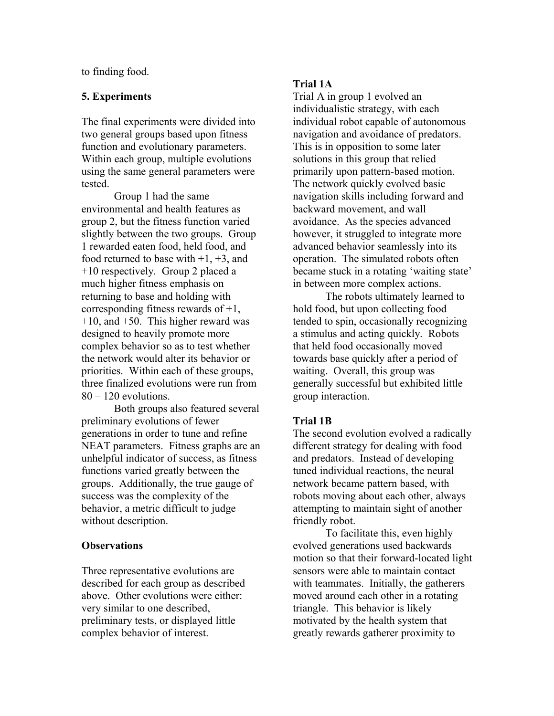to finding food.

# **5. Experiments**

The final experiments were divided into two general groups based upon fitness function and evolutionary parameters. Within each group, multiple evolutions using the same general parameters were tested.

Group 1 had the same environmental and health features as group 2, but the fitness function varied slightly between the two groups. Group 1 rewarded eaten food, held food, and food returned to base with  $+1$ ,  $+3$ , and +10 respectively. Group 2 placed a much higher fitness emphasis on returning to base and holding with corresponding fitness rewards of +1,  $+10$ , and  $+50$ . This higher reward was designed to heavily promote more complex behavior so as to test whether the network would alter its behavior or priorities. Within each of these groups, three finalized evolutions were run from  $80 - 120$  evolutions.

Both groups also featured several preliminary evolutions of fewer generations in order to tune and refine NEAT parameters. Fitness graphs are an unhelpful indicator of success, as fitness functions varied greatly between the groups. Additionally, the true gauge of success was the complexity of the behavior, a metric difficult to judge without description.

## **Observations**

Three representative evolutions are described for each group as described above. Other evolutions were either: very similar to one described, preliminary tests, or displayed little complex behavior of interest.

# **Trial 1A**

Trial A in group 1 evolved an individualistic strategy, with each individual robot capable of autonomous navigation and avoidance of predators. This is in opposition to some later solutions in this group that relied primarily upon pattern-based motion. The network quickly evolved basic navigation skills including forward and backward movement, and wall avoidance. As the species advanced however, it struggled to integrate more advanced behavior seamlessly into its operation. The simulated robots often became stuck in a rotating 'waiting state' in between more complex actions.

The robots ultimately learned to hold food, but upon collecting food tended to spin, occasionally recognizing a stimulus and acting quickly. Robots that held food occasionally moved towards base quickly after a period of waiting. Overall, this group was generally successful but exhibited little group interaction.

## **Trial 1B**

The second evolution evolved a radically different strategy for dealing with food and predators. Instead of developing tuned individual reactions, the neural network became pattern based, with robots moving about each other, always attempting to maintain sight of another friendly robot.

To facilitate this, even highly evolved generations used backwards motion so that their forward-located light sensors were able to maintain contact with teammates. Initially, the gatherers moved around each other in a rotating triangle. This behavior is likely motivated by the health system that greatly rewards gatherer proximity to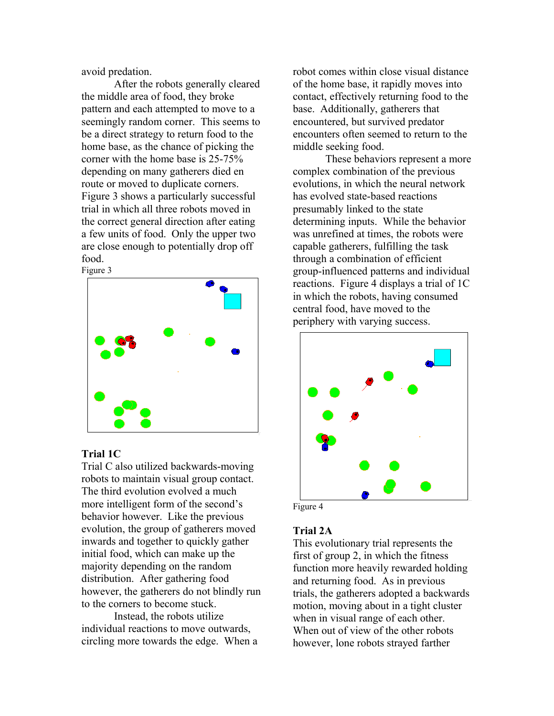avoid predation.

After the robots generally cleared the middle area of food, they broke pattern and each attempted to move to a seemingly random corner. This seems to be a direct strategy to return food to the home base, as the chance of picking the corner with the home base is 25-75% depending on many gatherers died en route or moved to duplicate corners. Figure 3 shows a particularly successful trial in which all three robots moved in the correct general direction after eating a few units of food. Only the upper two are close enough to potentially drop off food.



# **Trial 1C**

Trial C also utilized backwards-moving robots to maintain visual group contact. The third evolution evolved a much more intelligent form of the second's behavior however. Like the previous evolution, the group of gatherers moved inwards and together to quickly gather initial food, which can make up the majority depending on the random distribution. After gathering food however, the gatherers do not blindly run to the corners to become stuck.

Instead, the robots utilize individual reactions to move outwards, circling more towards the edge. When a

robot comes within close visual distance of the home base, it rapidly moves into contact, effectively returning food to the base. Additionally, gatherers that encountered, but survived predator encounters often seemed to return to the middle seeking food.

These behaviors represent a more complex combination of the previous evolutions, in which the neural network has evolved state-based reactions presumably linked to the state determining inputs. While the behavior was unrefined at times, the robots were capable gatherers, fulfilling the task through a combination of efficient group-influenced patterns and individual reactions. Figure 4 displays a trial of 1C in which the robots, having consumed central food, have moved to the periphery with varying success.



# **Trial 2A**

This evolutionary trial represents the first of group 2, in which the fitness function more heavily rewarded holding and returning food. As in previous trials, the gatherers adopted a backwards motion, moving about in a tight cluster when in visual range of each other. When out of view of the other robots however, lone robots strayed farther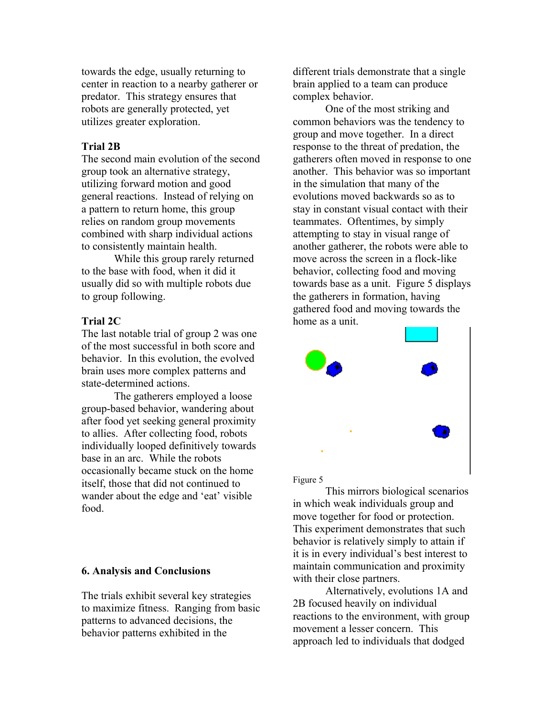towards the edge, usually returning to center in reaction to a nearby gatherer or predator. This strategy ensures that robots are generally protected, yet utilizes greater exploration.

# **Trial 2B**

The second main evolution of the second group took an alternative strategy, utilizing forward motion and good general reactions. Instead of relying on a pattern to return home, this group relies on random group movements combined with sharp individual actions to consistently maintain health.

While this group rarely returned to the base with food, when it did it usually did so with multiple robots due to group following.

## **Trial 2C**

The last notable trial of group 2 was one of the most successful in both score and behavior. In this evolution, the evolved brain uses more complex patterns and state-determined actions.

The gatherers employed a loose group-based behavior, wandering about after food yet seeking general proximity to allies. After collecting food, robots individually looped definitively towards base in an arc. While the robots occasionally became stuck on the home itself, those that did not continued to wander about the edge and 'eat' visible food.

#### **6. Analysis and Conclusions**

The trials exhibit several key strategies to maximize fitness. Ranging from basic patterns to advanced decisions, the behavior patterns exhibited in the

different trials demonstrate that a single brain applied to a team can produce complex behavior.

One of the most striking and common behaviors was the tendency to group and move together. In a direct response to the threat of predation, the gatherers often moved in response to one another. This behavior was so important in the simulation that many of the evolutions moved backwards so as to stay in constant visual contact with their teammates. Oftentimes, by simply attempting to stay in visual range of another gatherer, the robots were able to move across the screen in a flock-like behavior, collecting food and moving towards base as a unit. Figure 5 displays the gatherers in formation, having gathered food and moving towards the home as a unit.



#### Figure 5

This mirrors biological scenarios in which weak individuals group and move together for food or protection. This experiment demonstrates that such behavior is relatively simply to attain if it is in every individual's best interest to maintain communication and proximity with their close partners.

Alternatively, evolutions 1A and 2B focused heavily on individual reactions to the environment, with group movement a lesser concern. This approach led to individuals that dodged